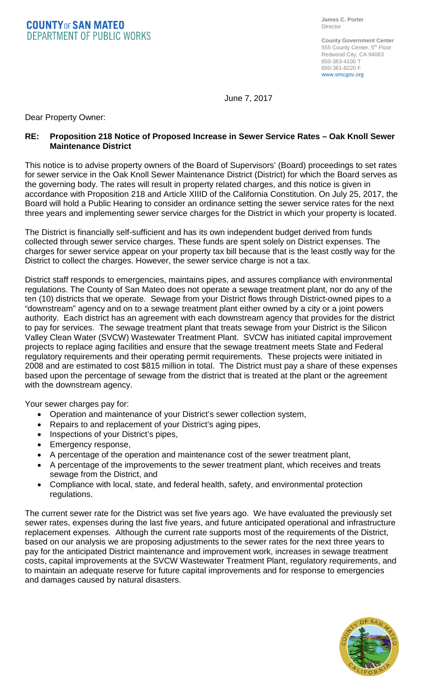**COUNTYOF SAN MATEO DEPARTMENT OF PUBLIC WORKS** 

**County Government Center** 555 County Center, 5<sup>th</sup> Floor Redwood City, CA 94063 650-363-4100 T 650-361-8220 F www.smcgov.org

June 7, 2017

Dear Property Owner:

## **RE: Proposition 218 Notice of Proposed Increase in Sewer Service Rates – Oak Knoll Sewer Maintenance District**

This notice is to advise property owners of the Board of Supervisors' (Board) proceedings to set rates for sewer service in the Oak Knoll Sewer Maintenance District (District) for which the Board serves as the governing body. The rates will result in property related charges, and this notice is given in accordance with Proposition 218 and Article XIIID of the California Constitution. On July 25, 2017, the Board will hold a Public Hearing to consider an ordinance setting the sewer service rates for the next three years and implementing sewer service charges for the District in which your property is located.

The District is financially self-sufficient and has its own independent budget derived from funds collected through sewer service charges. These funds are spent solely on District expenses. The charges for sewer service appear on your property tax bill because that is the least costly way for the District to collect the charges. However, the sewer service charge is not a tax.

District staff responds to emergencies, maintains pipes, and assures compliance with environmental regulations. The County of San Mateo does not operate a sewage treatment plant, nor do any of the ten (10) districts that we operate. Sewage from your District flows through District-owned pipes to a "downstream" agency and on to a sewage treatment plant either owned by a city or a joint powers authority. Each district has an agreement with each downstream agency that provides for the district to pay for services. The sewage treatment plant that treats sewage from your District is the Silicon Valley Clean Water (SVCW) Wastewater Treatment Plant. SVCW has initiated capital improvement projects to replace aging facilities and ensure that the sewage treatment meets State and Federal regulatory requirements and their operating permit requirements. These projects were initiated in 2008 and are estimated to cost \$815 million in total. The District must pay a share of these expenses based upon the percentage of sewage from the district that is treated at the plant or the agreement with the downstream agency.

Your sewer charges pay for:

- Operation and maintenance of your District's sewer collection system,
- Repairs to and replacement of your District's aging pipes,
- Inspections of your District's pipes,
- Emergency response,
- A percentage of the operation and maintenance cost of the sewer treatment plant,
- A percentage of the improvements to the sewer treatment plant, which receives and treats sewage from the District, and
- Compliance with local, state, and federal health, safety, and environmental protection regulations.

The current sewer rate for the District was set five years ago. We have evaluated the previously set sewer rates, expenses during the last five years, and future anticipated operational and infrastructure replacement expenses. Although the current rate supports most of the requirements of the District, based on our analysis we are proposing adjustments to the sewer rates for the next three years to pay for the anticipated District maintenance and improvement work, increases in sewage treatment costs, capital improvements at the SVCW Wastewater Treatment Plant, regulatory requirements, and to maintain an adequate reserve for future capital improvements and for response to emergencies and damages caused by natural disasters.